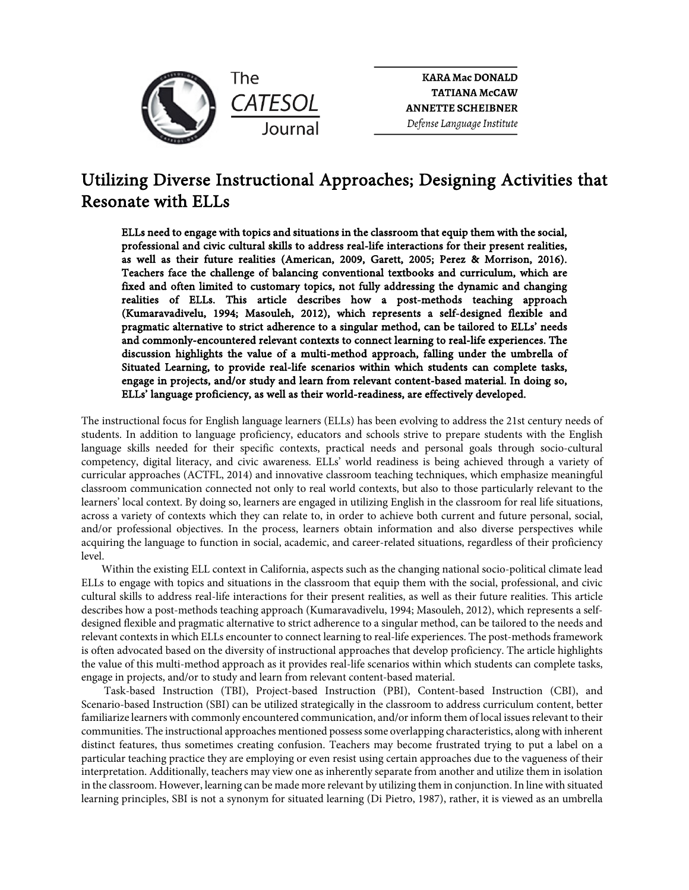

**KARA Mac DONALD TATIANA McCAW ANNETTE SCHEIBNER** Defense Language Institute

# Utilizing Diverse Instructional Approaches; Designing Activities that Resonate with ELLs

ELLs need to engage with topics and situations in the classroom that equip them with the social, professional and civic cultural skills to address real-life interactions for their present realities, as well as their future realities (American, 2009, Garett, 2005; Perez & Morrison, 2016). Teachers face the challenge of balancing conventional textbooks and curriculum, which are fixed and often limited to customary topics, not fully addressing the dynamic and changing realities of ELLs. This article describes how a post-methods teaching approach (Kumaravadivelu, 1994; Masouleh, 2012), which represents a self-designed flexible and pragmatic alternative to strict adherence to a singular method, can be tailored to ELLs' needs and commonly-encountered relevant contexts to connect learning to real-life experiences. The discussion highlights the value of a multi-method approach, falling under the umbrella of Situated Learning, to provide real-life scenarios within which students can complete tasks, engage in projects, and/or study and learn from relevant content-based material. In doing so, ELLs' language proficiency, as well as their world-readiness, are effectively developed.

The instructional focus for English language learners (ELLs) has been evolving to address the 21st century needs of students. In addition to language proficiency, educators and schools strive to prepare students with the English language skills needed for their specific contexts, practical needs and personal goals through socio-cultural competency, digital literacy, and civic awareness. ELLs' world readiness is being achieved through a variety of curricular approaches (ACTFL, 2014) and innovative classroom teaching techniques, which emphasize meaningful classroom communication connected not only to real world contexts, but also to those particularly relevant to the learners' local context. By doing so, learners are engaged in utilizing English in the classroom for real life situations, across a variety of contexts which they can relate to, in order to achieve both current and future personal, social, and/or professional objectives. In the process, learners obtain information and also diverse perspectives while acquiring the language to function in social, academic, and career-related situations, regardless of their proficiency level.

Within the existing ELL context in California, aspects such as the changing national socio-political climate lead ELLs to engage with topics and situations in the classroom that equip them with the social, professional, and civic cultural skills to address real-life interactions for their present realities, as well as their future realities. This article describes how a post-methods teaching approach (Kumaravadivelu, 1994; Masouleh, 2012), which represents a selfdesigned flexible and pragmatic alternative to strict adherence to a singular method, can be tailored to the needs and relevant contexts in which ELLs encounter to connect learning to real-life experiences. The post-methods framework is often advocated based on the diversity of instructional approaches that develop proficiency. The article highlights the value of this multi-method approach as it provides real-life scenarios within which students can complete tasks, engage in projects, and/or to study and learn from relevant content-based material.

Task-based Instruction (TBI), Project-based Instruction (PBI), Content-based Instruction (CBI), and Scenario-based Instruction (SBI) can be utilized strategically in the classroom to address curriculum content, better familiarize learners with commonly encountered communication, and/or inform them of local issues relevant to their communities. The instructional approaches mentioned possess some overlapping characteristics, along with inherent distinct features, thus sometimes creating confusion. Teachers may become frustrated trying to put a label on a particular teaching practice they are employing or even resist using certain approaches due to the vagueness of their interpretation. Additionally, teachers may view one as inherently separate from another and utilize them in isolation in the classroom. However, learning can be made more relevant by utilizing them in conjunction. In line with situated learning principles, SBI is not a synonym for situated learning (Di Pietro, 1987), rather, it is viewed as an umbrella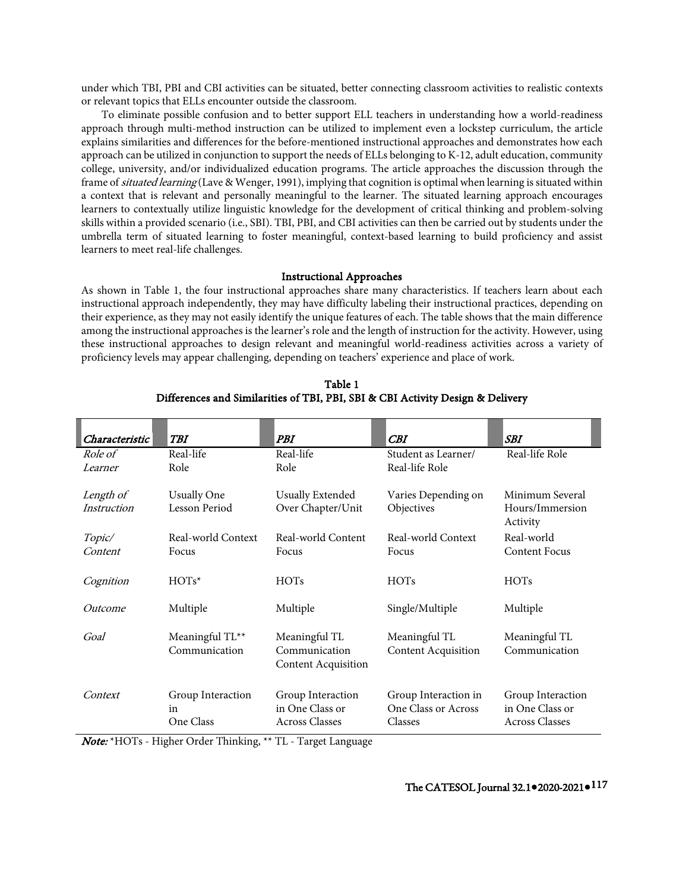under which TBI, PBI and CBI activities can be situated, better connecting classroom activities to realistic contexts or relevant topics that ELLs encounter outside the classroom.

To eliminate possible confusion and to better support ELL teachers in understanding how a world-readiness approach through multi-method instruction can be utilized to implement even a lockstep curriculum, the article explains similarities and differences for the before-mentioned instructional approaches and demonstrates how each approach can be utilized in conjunction to support the needs of ELLs belonging to K-12, adult education, community college, university, and/or individualized education programs. The article approaches the discussion through the frame of *situated learning* (Lave & Wenger, 1991), implying that cognition is optimal when learning is situated within a context that is relevant and personally meaningful to the learner. The situated learning approach encourages learners to contextually utilize linguistic knowledge for the development of critical thinking and problem-solving skills within a provided scenario (i.e., SBI). TBI, PBI, and CBI activities can then be carried out by students under the umbrella term of situated learning to foster meaningful, context-based learning to build proficiency and assist learners to meet real-life challenges.

### Instructional Approaches

As shown in Table 1, the four instructional approaches share many characteristics. If teachers learn about each instructional approach independently, they may have difficulty labeling their instructional practices, depending on their experience, as they may not easily identify the unique features of each. The table shows that the main difference among the instructional approaches is the learner's role and the length of instruction for the activity. However, using these instructional approaches to design relevant and meaningful world-readiness activities across a variety of proficiency levels may appear challenging, depending on teachers' experience and place of work.

| Characteristic | <b>TBI</b>         | PBI                                         | CBI                        | <b>SBI</b>                  |
|----------------|--------------------|---------------------------------------------|----------------------------|-----------------------------|
| Role of        | Real-life          | Real-life                                   | Student as Learner/        | Real-life Role              |
| Learner        | Role               | Role                                        | Real-life Role             |                             |
| Length of      | <b>Usually One</b> | <b>Usually Extended</b>                     | Varies Depending on        | Minimum Several             |
| Instruction    | Lesson Period      | Over Chapter/Unit                           | Objectives                 | Hours/Immersion<br>Activity |
| Topic/         | Real-world Context | Real-world Content                          | Real-world Context         | Real-world                  |
| Content        | Focus              | Focus                                       | Focus                      | <b>Content Focus</b>        |
| Cognition      | $HOTs*$            | <b>HOTs</b>                                 | <b>HOTs</b>                | <b>HOTs</b>                 |
| Outcome        | Multiple           | Multiple                                    | Single/Multiple            | Multiple                    |
| Goal           | Meaningful TL**    | Meaningful TL                               | Meaningful TL              | Meaningful TL               |
|                | Communication      | Communication<br><b>Content Acquisition</b> | <b>Content Acquisition</b> | Communication               |
| Context        | Group Interaction  | Group Interaction                           | Group Interaction in       | Group Interaction           |
|                | in                 | in One Class or                             | One Class or Across        | in One Class or             |
|                | One Class          | <b>Across Classes</b>                       | Classes                    | <b>Across Classes</b>       |

Table 1 Differences and Similarities of TBI, PBI, SBI & CBI Activity Design & Delivery

Note: \*HOTs - Higher Order Thinking, \*\* TL - Target Language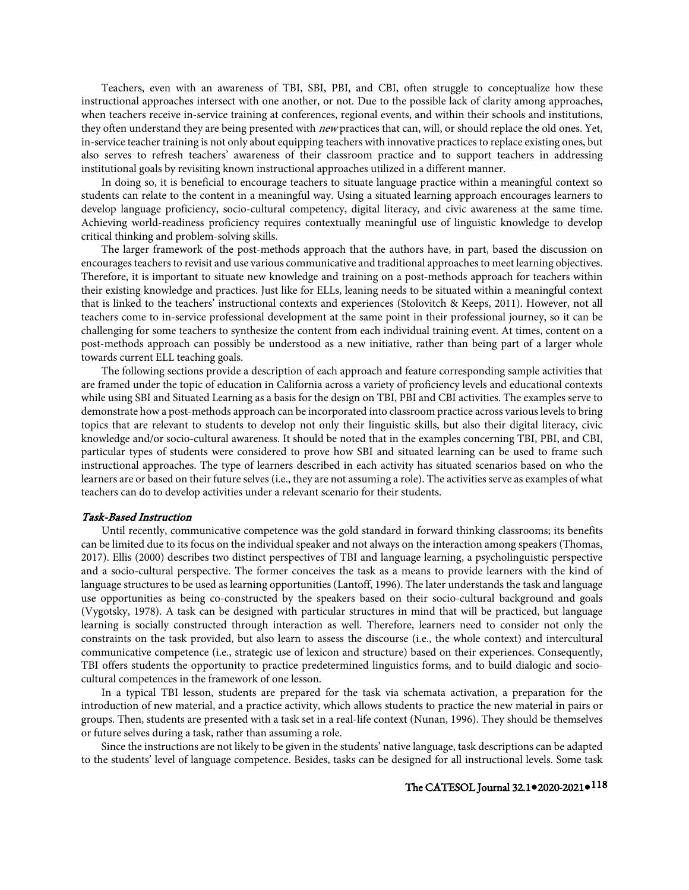Teachers, even with an awareness of TBI, SBI, PBI, and CBI, often struggle to conceptualize how these instructional approaches intersect with one another, or not. Due to the possible lack of clarity among approaches, when teachers receive in-service training at conferences, regional events, and within their schools and institutions, they often understand they are being presented with new practices that can, will, or should replace the old ones. Yet, in-service teacher training is not only about equipping teachers with innovative practices to replace existing ones, but also serves to refresh teachers' awareness of their classroom practice and to support teachers in addressing institutional goals by revisiting known instructional approaches utilized in a different manner.

In doing so, it is beneficial to encourage teachers to situate language practice within a meaningful context so students can relate to the content in a meaningful way. Using a situated learning approach encourages learners to develop language proficiency, socio-cultural competency, digital literacy, and civic awareness at the same time. Achieving world-readiness proficiency requires contextually meaningful use of linguistic knowledge to develop critical thinking and problem-solving skills.

The larger framework of the post-methods approach that the authors have, in part, based the discussion on encourages teachers to revisit and use various communicative and traditional approaches to meet learning objectives. Therefore, it is important to situate new knowledge and training on a post-methods approach for teachers within their existing knowledge and practices. Just like for ELLs, leaning needs to be situated within a meaningful context that is linked to the teachers' instructional contexts and experiences (Stolovitch & Keeps, 2011). However, not all teachers come to in-service professional development at the same point in their professional journey, so it can be challenging for some teachers to synthesize the content from each individual training event. At times, content on a post-methods approach can possibly be understood as a new initiative, rather than being part of a larger whole towards current ELL teaching goals.

The following sections provide a description of each approach and feature corresponding sample activities that are framed under the topic of education in California across a variety of proficiency levels and educational contexts while using SBI and Situated Learning as a basis for the design on TBI, PBI and CBI activities. The examples serve to demonstrate how a post-methods approach can be incorporated into classroom practice across various levels to bring topics that are relevant to students to develop not only their linguistic skills, but also their digital literacy, civic knowledge and/or socio-cultural awareness. It should be noted that in the examples concerning TBI, PBI, and CBI, particular types of students were considered to prove how SBI and situated learning can be used to frame such instructional approaches. The type of learners described in each activity has situated scenarios based on who the learners are or based on their future selves (i.e., they are not assuming a role). The activities serve as examples of what teachers can do to develop activities under a relevant scenario for their students.

#### Task-Based Instruction

Until recently, communicative competence was the gold standard in forward thinking classrooms; its benefits can be limited due to its focus on the individual speaker and not always on the interaction among speakers (Thomas, 2017). Ellis (2000) describes two distinct perspectives of TBI and language learning, a psycholinguistic perspective and a socio-cultural perspective. The former conceives the task as a means to provide learners with the kind of language structures to be used as learning opportunities (Lantoff, 1996). The later understands the task and language use opportunities as being co-constructed by the speakers based on their socio-cultural background and goals (Vygotsky, 1978). A task can be designed with particular structures in mind that will be practiced, but language learning is socially constructed through interaction as well. Therefore, learners need to consider not only the constraints on the task provided, but also learn to assess the discourse (i.e., the whole context) and intercultural communicative competence (i.e., strategic use of lexicon and structure) based on their experiences. Consequently, TBI offers students the opportunity to practice predetermined linguistics forms, and to build dialogic and sociocultural competences in the framework of one lesson.

In a typical TBI lesson, students are prepared for the task via schemata activation, a preparation for the introduction of new material, and a practice activity, which allows students to practice the new material in pairs or groups. Then, students are presented with a task set in a real-life context (Nunan, 1996). They should be themselves or future selves during a task, rather than assuming a role.

Since the instructions are not likely to be given in the students' native language, task descriptions can be adapted to the students' level of language competence. Besides, tasks can be designed for all instructional levels. Some task

## The CATESOL Journal 32.1**●**2020-2021**●**118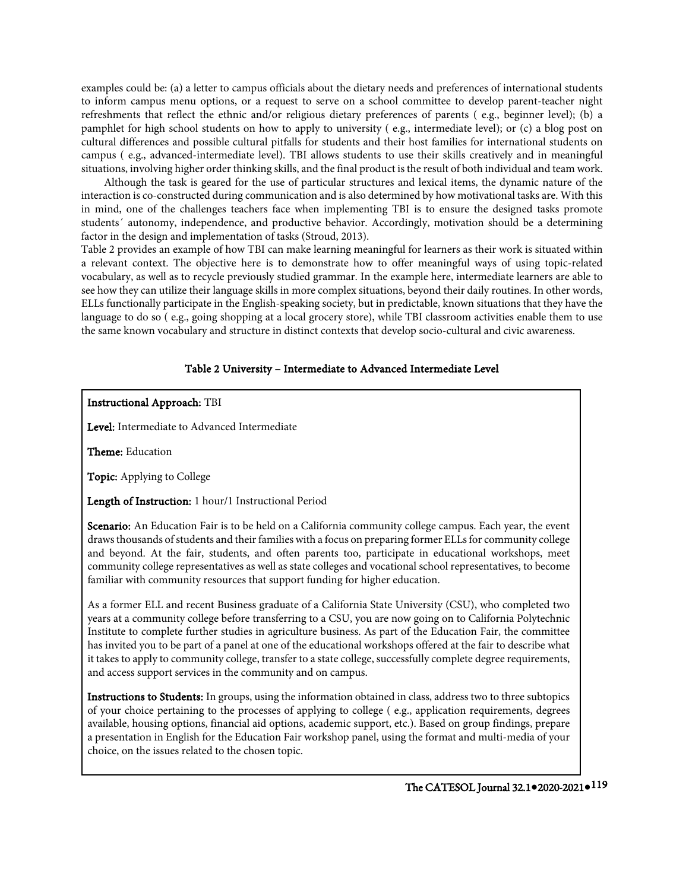examples could be: (a) a letter to campus officials about the dietary needs and preferences of international students to inform campus menu options, or a request to serve on a school committee to develop parent-teacher night refreshments that reflect the ethnic and/or religious dietary preferences of parents ( e.g., beginner level); (b) a pamphlet for high school students on how to apply to university ( e.g., intermediate level); or (c) a blog post on cultural differences and possible cultural pitfalls for students and their host families for international students on campus ( e.g., advanced-intermediate level). TBI allows students to use their skills creatively and in meaningful situations, involving higher order thinking skills, and the final product is the result of both individual and team work.

Although the task is geared for the use of particular structures and lexical items, the dynamic nature of the interaction is co-constructed during communication and is also determined by how motivational tasks are. With this in mind, one of the challenges teachers face when implementing TBI is to ensure the designed tasks promote students´ autonomy, independence, and productive behavior. Accordingly, motivation should be a determining factor in the design and implementation of tasks (Stroud, 2013).

Table 2 provides an example of how TBI can make learning meaningful for learners as their work is situated within a relevant context. The objective here is to demonstrate how to offer meaningful ways of using topic-related vocabulary, as well as to recycle previously studied grammar. In the example here, intermediate learners are able to see how they can utilize their language skills in more complex situations, beyond their daily routines. In other words, ELLs functionally participate in the English-speaking society, but in predictable, known situations that they have the language to do so ( e.g., going shopping at a local grocery store), while TBI classroom activities enable them to use the same known vocabulary and structure in distinct contexts that develop socio-cultural and civic awareness.

## Table 2 University – Intermediate to Advanced Intermediate Level

## Instructional Approach: TBI

Level: Intermediate to Advanced Intermediate

Theme: Education

Topic: Applying to College

Length of Instruction: 1 hour/1 Instructional Period

Scenario: An Education Fair is to be held on a California community college campus. Each year, the event draws thousands of students and their families with a focus on preparing former ELLs for community college and beyond. At the fair, students, and often parents too, participate in educational workshops, meet community college representatives as well as state colleges and vocational school representatives, to become familiar with community resources that support funding for higher education.

As a former ELL and recent Business graduate of a California State University (CSU), who completed two years at a community college before transferring to a CSU, you are now going on to California Polytechnic Institute to complete further studies in agriculture business. As part of the Education Fair, the committee has invited you to be part of a panel at one of the educational workshops offered at the fair to describe what it takes to apply to community college, transfer to a state college, successfully complete degree requirements, and access support services in the community and on campus.

Instructions to Students: In groups, using the information obtained in class, address two to three subtopics of your choice pertaining to the processes of applying to college ( e.g., application requirements, degrees available, housing options, financial aid options, academic support, etc.). Based on group findings, prepare a presentation in English for the Education Fair workshop panel, using the format and multi-media of your choice, on the issues related to the chosen topic.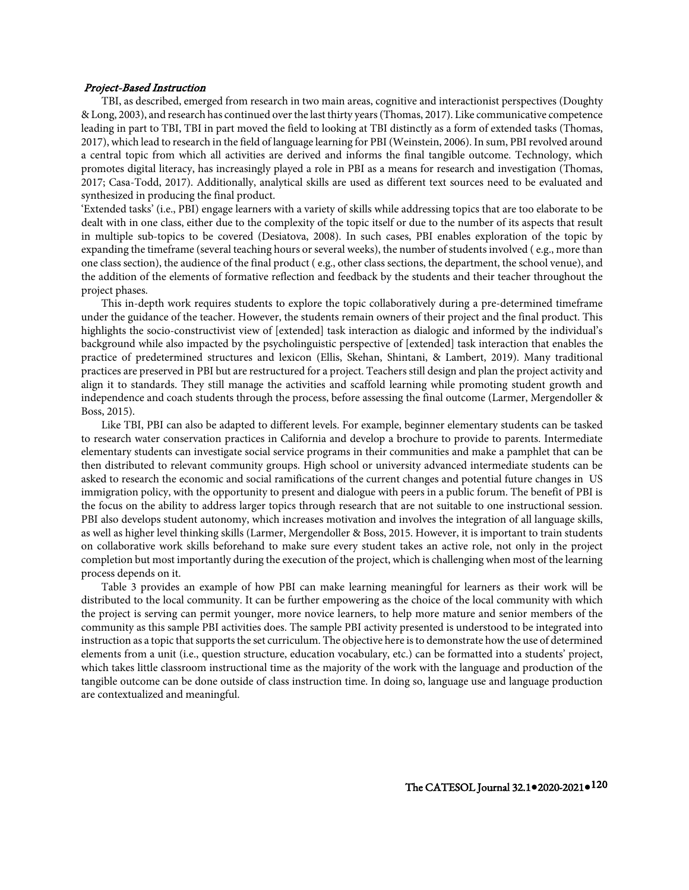### Project-Based Instruction

TBI, as described, emerged from research in two main areas, cognitive and interactionist perspectives (Doughty & Long, 2003), and research has continued over the last thirty years (Thomas, 2017). Like communicative competence leading in part to TBI, TBI in part moved the field to looking at TBI distinctly as a form of extended tasks (Thomas, 2017), which lead to research in the field of language learning for PBI (Weinstein, 2006). In sum, PBI revolved around a central topic from which all activities are derived and informs the final tangible outcome. Technology, which promotes digital literacy, has increasingly played a role in PBI as a means for research and investigation (Thomas, 2017; Casa-Todd, 2017). Additionally, analytical skills are used as different text sources need to be evaluated and synthesized in producing the final product.

'Extended tasks' (i.e., PBI) engage learners with a variety of skills while addressing topics that are too elaborate to be dealt with in one class, either due to the complexity of the topic itself or due to the number of its aspects that result in multiple sub-topics to be covered (Desiatova, 2008). In such cases, PBI enables exploration of the topic by expanding the timeframe (several teaching hours or several weeks), the number of students involved ( e.g., more than one class section), the audience of the final product ( e.g., other class sections, the department, the school venue), and the addition of the elements of formative reflection and feedback by the students and their teacher throughout the project phases.

This in-depth work requires students to explore the topic collaboratively during a pre-determined timeframe under the guidance of the teacher. However, the students remain owners of their project and the final product. This highlights the socio-constructivist view of [extended] task interaction as dialogic and informed by the individual's background while also impacted by the psycholinguistic perspective of [extended] task interaction that enables the practice of predetermined structures and lexicon (Ellis, Skehan, Shintani, & Lambert, 2019). Many traditional practices are preserved in PBI but are restructured for a project. Teachers still design and plan the project activity and align it to standards. They still manage the activities and scaffold learning while promoting student growth and independence and coach students through the process, before assessing the final outcome (Larmer, Mergendoller & Boss, 2015).

Like TBI, PBI can also be adapted to different levels. For example, beginner elementary students can be tasked to research water conservation practices in California and develop a brochure to provide to parents. Intermediate elementary students can investigate social service programs in their communities and make a pamphlet that can be then distributed to relevant community groups. High school or university advanced intermediate students can be asked to research the economic and social ramifications of the current changes and potential future changes in US immigration policy, with the opportunity to present and dialogue with peers in a public forum. The benefit of PBI is the focus on the ability to address larger topics through research that are not suitable to one instructional session. PBI also develops student autonomy, which increases motivation and involves the integration of all language skills, as well as higher level thinking skills (Larmer, Mergendoller & Boss, 2015. However, it is important to train students on collaborative work skills beforehand to make sure every student takes an active role, not only in the project completion but most importantly during the execution of the project, which is challenging when most of the learning process depends on it.

Table 3 provides an example of how PBI can make learning meaningful for learners as their work will be distributed to the local community. It can be further empowering as the choice of the local community with which the project is serving can permit younger, more novice learners, to help more mature and senior members of the community as this sample PBI activities does. The sample PBI activity presented is understood to be integrated into instruction as a topic that supports the set curriculum. The objective here is to demonstrate how the use of determined elements from a unit (i.e., question structure, education vocabulary, etc.) can be formatted into a students' project, which takes little classroom instructional time as the majority of the work with the language and production of the tangible outcome can be done outside of class instruction time. In doing so, language use and language production are contextualized and meaningful.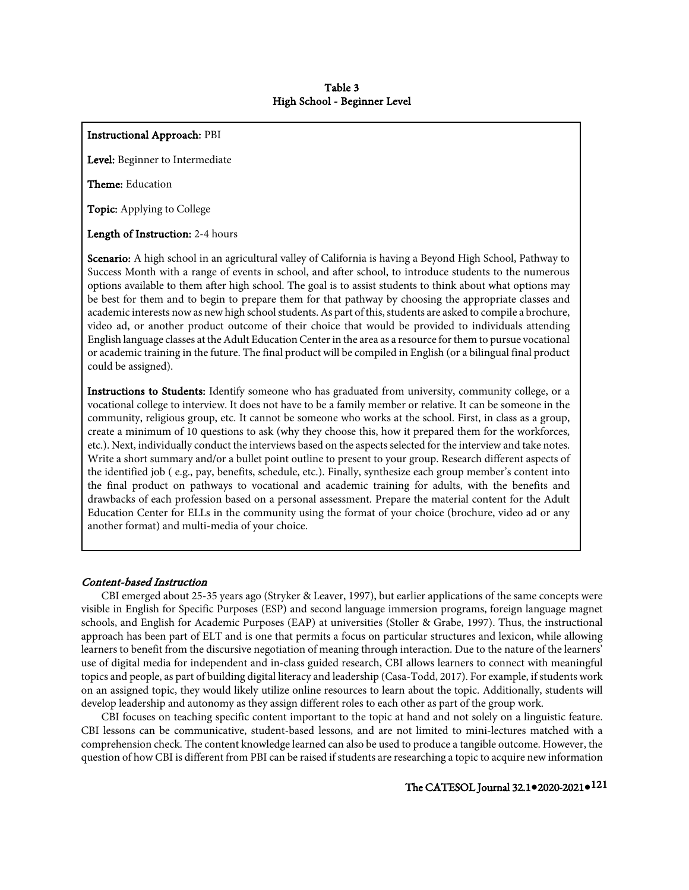## Instructional Approach: PBI

Level: Beginner to Intermediate

Theme: Education

Topic: Applying to College

Length of Instruction: 2-4 hours

Scenario: A high school in an agricultural valley of California is having a Beyond High School, Pathway to Success Month with a range of events in school, and after school, to introduce students to the numerous options available to them after high school. The goal is to assist students to think about what options may be best for them and to begin to prepare them for that pathway by choosing the appropriate classes and academic interests now as new high school students. As part of this, students are asked to compile a brochure, video ad, or another product outcome of their choice that would be provided to individuals attending English language classes at the Adult Education Center in the area as a resource for them to pursue vocational or academic training in the future. The final product will be compiled in English (or a bilingual final product could be assigned).

Instructions to Students: Identify someone who has graduated from university, community college, or a vocational college to interview. It does not have to be a family member or relative. It can be someone in the community, religious group, etc. It cannot be someone who works at the school. First, in class as a group, create a minimum of 10 questions to ask (why they choose this, how it prepared them for the workforces, etc.). Next, individually conduct the interviews based on the aspects selected for the interview and take notes. Write a short summary and/or a bullet point outline to present to your group. Research different aspects of the identified job ( e.g., pay, benefits, schedule, etc.). Finally, synthesize each group member's content into the final product on pathways to vocational and academic training for adults, with the benefits and drawbacks of each profession based on a personal assessment. Prepare the material content for the Adult Education Center for ELLs in the community using the format of your choice (brochure, video ad or any another format) and multi-media of your choice.

### Content-based Instruction

CBI emerged about 25-35 years ago (Stryker & Leaver, 1997), but earlier applications of the same concepts were visible in English for Specific Purposes (ESP) and second language immersion programs, foreign language magnet schools, and English for Academic Purposes (EAP) at universities (Stoller & Grabe, 1997). Thus, the instructional approach has been part of ELT and is one that permits a focus on particular structures and lexicon, while allowing learners to benefit from the discursive negotiation of meaning through interaction. Due to the nature of the learners' use of digital media for independent and in-class guided research, CBI allows learners to connect with meaningful topics and people, as part of building digital literacy and leadership (Casa-Todd, 2017). For example, if students work on an assigned topic, they would likely utilize online resources to learn about the topic. Additionally, students will develop leadership and autonomy as they assign different roles to each other as part of the group work.

CBI focuses on teaching specific content important to the topic at hand and not solely on a linguistic feature. CBI lessons can be communicative, student-based lessons, and are not limited to mini-lectures matched with a comprehension check. The content knowledge learned can also be used to produce a tangible outcome. However, the question of how CBI is different from PBI can be raised if students are researching a topic to acquire new information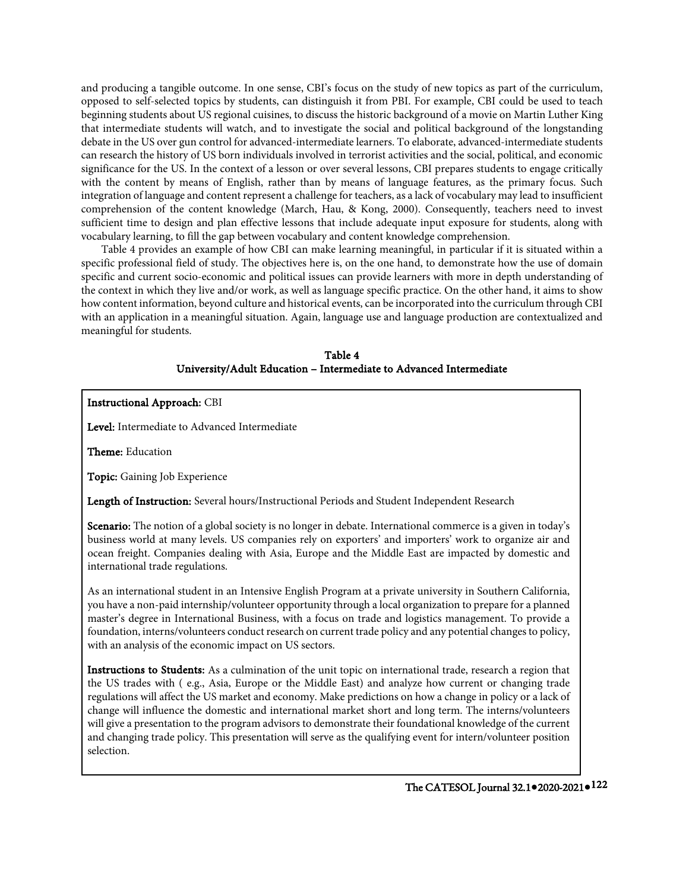and producing a tangible outcome. In one sense, CBI's focus on the study of new topics as part of the curriculum, opposed to self-selected topics by students, can distinguish it from PBI. For example, CBI could be used to teach beginning students about US regional cuisines, to discuss the historic background of a movie on Martin Luther King that intermediate students will watch, and to investigate the social and political background of the longstanding debate in the US over gun control for advanced-intermediate learners. To elaborate, advanced-intermediate students can research the history of US born individuals involved in terrorist activities and the social, political, and economic significance for the US. In the context of a lesson or over several lessons, CBI prepares students to engage critically with the content by means of English, rather than by means of language features, as the primary focus. Such integration of language and content represent a challenge for teachers, as a lack of vocabulary may lead to insufficient comprehension of the content knowledge (March, Hau, & Kong, 2000). Consequently, teachers need to invest sufficient time to design and plan effective lessons that include adequate input exposure for students, along with vocabulary learning, to fill the gap between vocabulary and content knowledge comprehension.

Table 4 provides an example of how CBI can make learning meaningful, in particular if it is situated within a specific professional field of study. The objectives here is, on the one hand, to demonstrate how the use of domain specific and current socio-economic and political issues can provide learners with more in depth understanding of the context in which they live and/or work, as well as language specific practice. On the other hand, it aims to show how content information, beyond culture and historical events, can be incorporated into the curriculum through CBI with an application in a meaningful situation. Again, language use and language production are contextualized and meaningful for students.

## Table 4 University/Adult Education – Intermediate to Advanced Intermediate

## Instructional Approach: CBI

Level: Intermediate to Advanced Intermediate

Theme: Education

Topic: Gaining Job Experience

Length of Instruction: Several hours/Instructional Periods and Student Independent Research

Scenario: The notion of a global society is no longer in debate. International commerce is a given in today's business world at many levels. US companies rely on exporters' and importers' work to organize air and ocean freight. Companies dealing with Asia, Europe and the Middle East are impacted by domestic and international trade regulations.

As an international student in an Intensive English Program at a private university in Southern California, you have a non-paid internship/volunteer opportunity through a local organization to prepare for a planned master's degree in International Business, with a focus on trade and logistics management. To provide a foundation, interns/volunteers conduct research on current trade policy and any potential changes to policy, with an analysis of the economic impact on US sectors.

Instructions to Students: As a culmination of the unit topic on international trade, research a region that the US trades with ( e.g., Asia, Europe or the Middle East) and analyze how current or changing trade regulations will affect the US market and economy. Make predictions on how a change in policy or a lack of change will influence the domestic and international market short and long term. The interns/volunteers will give a presentation to the program advisors to demonstrate their foundational knowledge of the current and changing trade policy. This presentation will serve as the qualifying event for intern/volunteer position selection.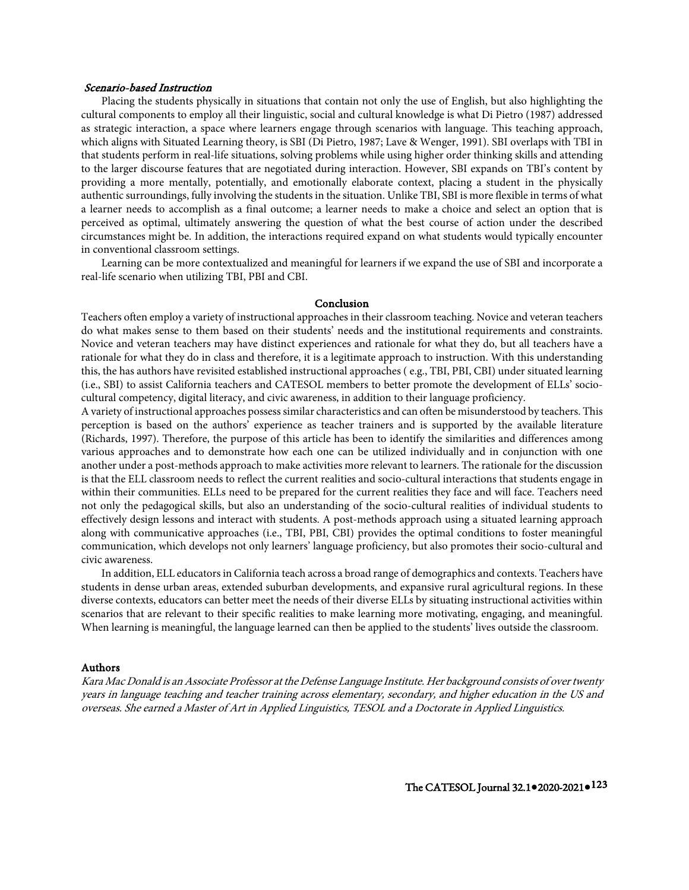## Scenario-based Instruction

Placing the students physically in situations that contain not only the use of English, but also highlighting the cultural components to employ all their linguistic, social and cultural knowledge is what Di Pietro (1987) addressed as strategic interaction, a space where learners engage through scenarios with language. This teaching approach, which aligns with Situated Learning theory, is SBI (Di Pietro, 1987; Lave & Wenger, 1991). SBI overlaps with TBI in that students perform in real-life situations, solving problems while using higher order thinking skills and attending to the larger discourse features that are negotiated during interaction. However, SBI expands on TBI's content by providing a more mentally, potentially, and emotionally elaborate context, placing a student in the physically authentic surroundings, fully involving the students in the situation. Unlike TBI, SBI is more flexible in terms of what a learner needs to accomplish as a final outcome; a learner needs to make a choice and select an option that is perceived as optimal, ultimately answering the question of what the best course of action under the described circumstances might be. In addition, the interactions required expand on what students would typically encounter in conventional classroom settings.

Learning can be more contextualized and meaningful for learners if we expand the use of SBI and incorporate a real-life scenario when utilizing TBI, PBI and CBI.

#### Conclusion

Teachers often employ a variety of instructional approaches in their classroom teaching. Novice and veteran teachers do what makes sense to them based on their students' needs and the institutional requirements and constraints. Novice and veteran teachers may have distinct experiences and rationale for what they do, but all teachers have a rationale for what they do in class and therefore, it is a legitimate approach to instruction. With this understanding this, the has authors have revisited established instructional approaches ( e.g., TBI, PBI, CBI) under situated learning (i.e., SBI) to assist California teachers and CATESOL members to better promote the development of ELLs' sociocultural competency, digital literacy, and civic awareness, in addition to their language proficiency.

A variety of instructional approaches possess similar characteristics and can often be misunderstood by teachers. This perception is based on the authors' experience as teacher trainers and is supported by the available literature (Richards, 1997). Therefore, the purpose of this article has been to identify the similarities and differences among various approaches and to demonstrate how each one can be utilized individually and in conjunction with one another under a post-methods approach to make activities more relevant to learners. The rationale for the discussion is that the ELL classroom needs to reflect the current realities and socio-cultural interactions that students engage in within their communities. ELLs need to be prepared for the current realities they face and will face. Teachers need not only the pedagogical skills, but also an understanding of the socio-cultural realities of individual students to effectively design lessons and interact with students. A post-methods approach using a situated learning approach along with communicative approaches (i.e., TBI, PBI, CBI) provides the optimal conditions to foster meaningful communication, which develops not only learners' language proficiency, but also promotes their socio-cultural and civic awareness.

In addition, ELL educators in California teach across a broad range of demographics and contexts. Teachers have students in dense urban areas, extended suburban developments, and expansive rural agricultural regions. In these diverse contexts, educators can better meet the needs of their diverse ELLs by situating instructional activities within scenarios that are relevant to their specific realities to make learning more motivating, engaging, and meaningful. When learning is meaningful, the language learned can then be applied to the students' lives outside the classroom.

## Authors

Kara Mac Donald is an Associate Professor at the Defense Language Institute. Her background consists of over twenty years in language teaching and teacher training across elementary, secondary, and higher education in the US and overseas. She earned a Master of Art in Applied Linguistics, TESOL and a Doctorate in Applied Linguistics.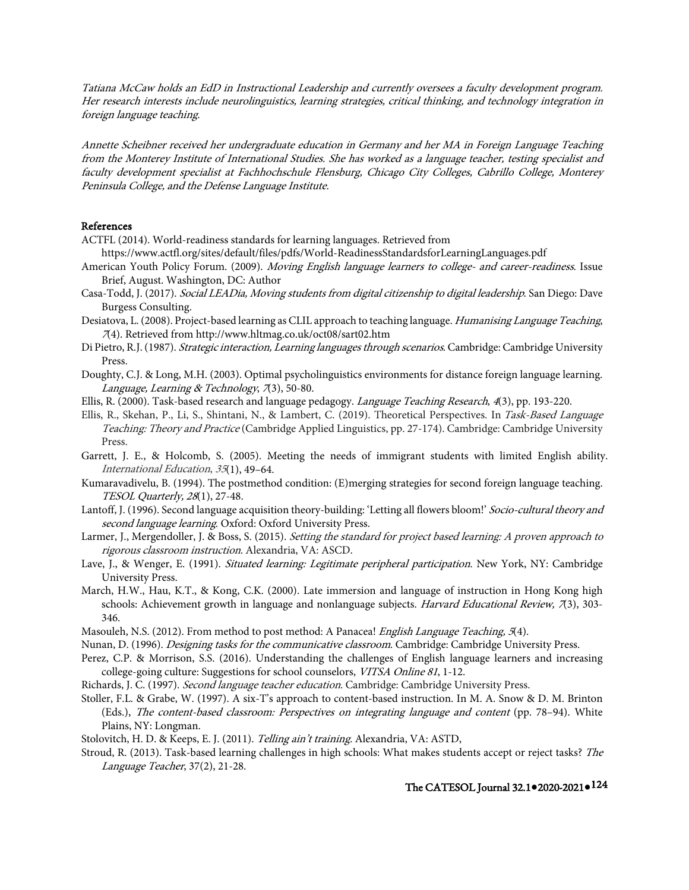Tatiana McCaw holds an EdD in Instructional Leadership and currently oversees a faculty development program. Her research interests include neurolinguistics, learning strategies, critical thinking, and technology integration in foreign language teaching.

Annette Scheibner received her undergraduate education in Germany and her MA in Foreign Language Teaching from the Monterey Institute of International Studies. She has worked as a language teacher, testing specialist and faculty development specialist at Fachhochschule Flensburg, Chicago City Colleges, Cabrillo College, Monterey Peninsula College, and the Defense Language Institute.

## References

- ACTFL (2014). World-readiness standards for learning languages. Retrieved from
- https://www.actfl.org/sites/default/files/pdfs/World-ReadinessStandardsforLearningLanguages.pdf
- American Youth Policy Forum. (2009). Moving English language learners to college- and career-readiness. Issue Brief, August. Washington, DC: Author
- Casa-Todd, J. (2017). Social LEADia, Moving students from digital citizenship to digital leadership. San Diego: Dave Burgess Consulting.
- Desiatova, L. (2008). Project-based learning as CLIL approach to teaching language. Humanising Language Teaching, <sup>7</sup>(4). Retrieved from http://www.hltmag.co.uk/oct08/sart02.htm
- Di Pietro, R.J. (1987). Strategic interaction, Learning languages through scenarios. Cambridge: Cambridge University Press.
- Doughty, C.J. & Long, M.H. (2003). Optimal psycholinguistics environments for distance foreign language learning. Language, Learning & Technology, 7(3), 50-80.
- Ellis, R. (2000). Task-based research and language pedagogy. Language Teaching Research, 4(3), pp. 193-220.
- Ellis, R., Skehan, P., Li, S., Shintani, N., & Lambert, C. (2019). Theoretical Perspectives. In Task-Based Language Teaching: Theory and Practice (Cambridge Applied Linguistics, pp. 27-174). Cambridge: Cambridge University Press.
- Garrett, J. E., & Holcomb, S. (2005). Meeting the needs of immigrant students with limited English ability. International Education, <sup>35</sup>(1), 49–64.
- Kumaravadivelu, B. (1994). The postmethod condition: (E)merging strategies for second foreign language teaching. TESOL Quarterly, 28(1), 27-48.
- Lantoff, J. (1996). Second language acquisition theory-building: 'Letting all flowers bloom!' Socio-cultural theory and second language learning. Oxford: Oxford University Press.
- Larmer, J., Mergendoller, J. & Boss, S. (2015). Setting the standard for project based learning: A proven approach to rigorous classroom instruction. Alexandria, VA: ASCD.
- Lave, J., & Wenger, E. (1991). Situated learning: Legitimate peripheral participation. New York, NY: Cambridge University Press.
- March, H.W., Hau, K.T., & Kong, C.K. (2000). Late immersion and language of instruction in Hong Kong high schools: Achievement growth in language and nonlanguage subjects. Harvard Educational Review,  $\pi$ (3), 303-346.
- Masouleh, N.S. (2012). From method to post method: A Panacea! *English Language Teaching, 5*(4).
- Nunan, D. (1996). *Designing tasks for the communicative classroom*. Cambridge: Cambridge University Press.
- Perez, C.P. & Morrison, S.S. (2016). Understanding the challenges of English language learners and increasing college-going culture: Suggestions for school counselors, VITSA Online <sup>81</sup>, 1-12.
- Richards, J. C. (1997). Second language teacher education. Cambridge: Cambridge University Press.
- Stoller, F.L. & Grabe, W. (1997). A six-T's approach to content-based instruction. In M. A. Snow & D. M. Brinton (Eds.), The content-based classroom: Perspectives on integrating language and content (pp. 78–94). White Plains, NY: Longman.
- Stolovitch, H. D. & Keeps, E. J. (2011). Telling ain't training. Alexandria, VA: ASTD,
- Stroud, R. (2013). Task-based learning challenges in high schools: What makes students accept or reject tasks? The Language Teacher, 37(2), 21-28.

# The CATESOL Journal 32.1**●**2020-2021**●**124